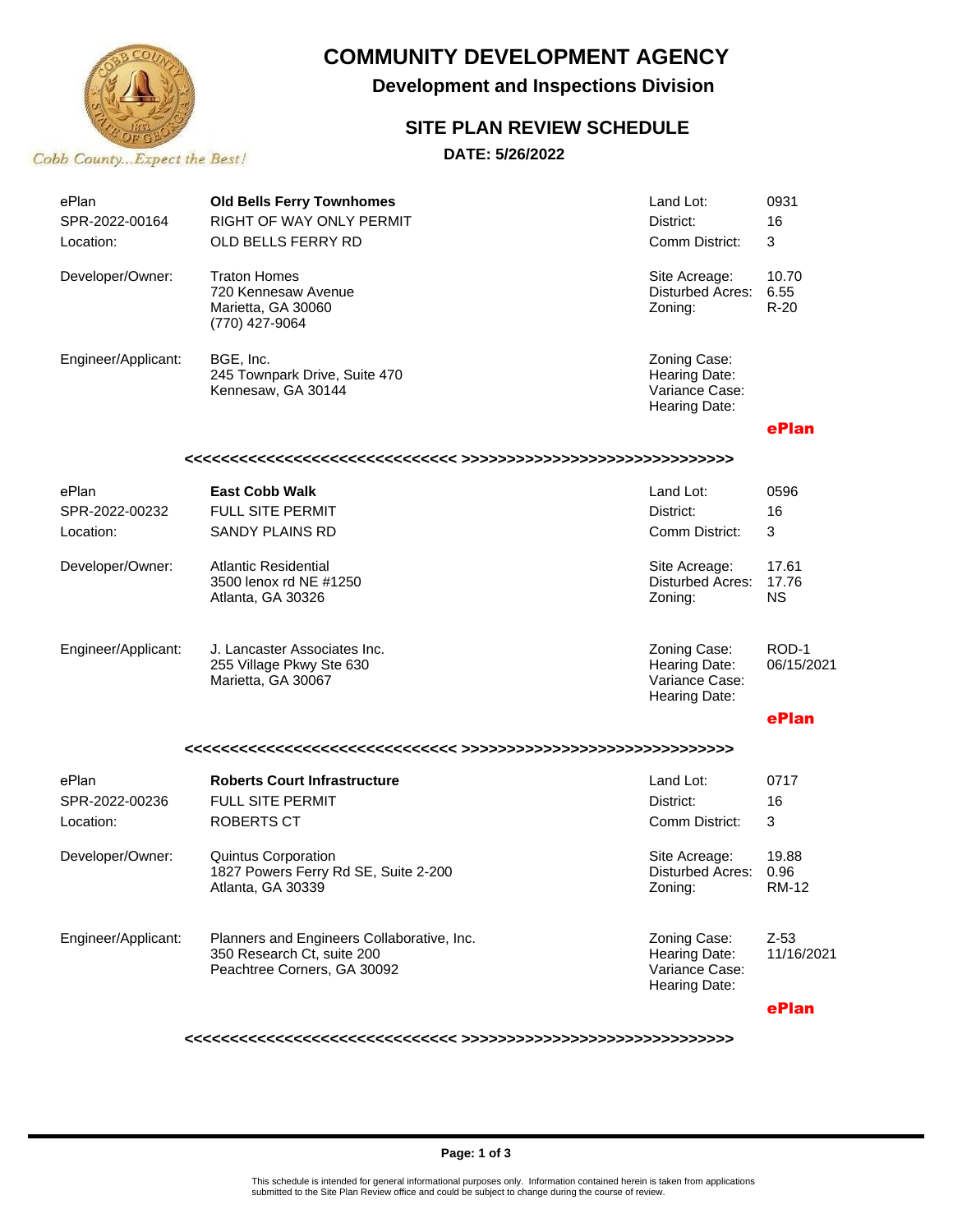

## **COMMUNITY DEVELOPMENT AGENCY**

**Development and Inspections Division**

## **SITE PLAN REVIEW SCHEDULE**

**DATE: 5/26/2022**

| ePlan<br>SPR-2022-00164<br>Location: | <b>Old Bells Ferry Townhomes</b><br>RIGHT OF WAY ONLY PERMIT<br>OLD BELLS FERRY RD                      | Land Lot:<br>District:<br>Comm District:                         | 0931<br>16<br>3         |  |  |  |
|--------------------------------------|---------------------------------------------------------------------------------------------------------|------------------------------------------------------------------|-------------------------|--|--|--|
| Developer/Owner:                     | <b>Traton Homes</b><br>720 Kennesaw Avenue<br>Marietta, GA 30060<br>(770) 427-9064                      | Site Acreage:<br>Disturbed Acres:<br>Zoning:                     | 10.70<br>6.55<br>$R-20$ |  |  |  |
| Engineer/Applicant:                  | BGE, Inc.<br>245 Townpark Drive, Suite 470<br>Kennesaw, GA 30144                                        | Zoning Case:<br>Hearing Date:<br>Variance Case:<br>Hearing Date: |                         |  |  |  |
|                                      |                                                                                                         |                                                                  | ePlan                   |  |  |  |
|                                      |                                                                                                         |                                                                  |                         |  |  |  |
| ePlan                                | <b>East Cobb Walk</b>                                                                                   | Land Lot:                                                        | 0596                    |  |  |  |
| SPR-2022-00232                       | <b>FULL SITE PERMIT</b>                                                                                 | District:                                                        | 16                      |  |  |  |
| Location:                            | <b>SANDY PLAINS RD</b>                                                                                  | Comm District:                                                   | 3                       |  |  |  |
| Developer/Owner:                     | <b>Atlantic Residential</b><br>3500 lenox rd NE #1250<br>Atlanta, GA 30326                              | Site Acreage:<br><b>Disturbed Acres:</b><br>Zoning:              | 17.61<br>17.76<br>ΝS    |  |  |  |
| Engineer/Applicant:                  | J. Lancaster Associates Inc.<br>255 Village Pkwy Ste 630<br>Marietta, GA 30067                          | Zoning Case:<br>Hearing Date:<br>Variance Case:<br>Hearing Date: | ROD-1<br>06/15/2021     |  |  |  |
|                                      |                                                                                                         |                                                                  | ePlan                   |  |  |  |
|                                      |                                                                                                         |                                                                  |                         |  |  |  |
| ePlan                                | <b>Roberts Court Infrastructure</b>                                                                     | Land Lot:                                                        | 0717                    |  |  |  |
| SPR-2022-00236                       | <b>FULL SITE PERMIT</b>                                                                                 | District:                                                        | 16                      |  |  |  |
| Location:                            | <b>ROBERTS CT</b>                                                                                       | Comm District:                                                   | 3                       |  |  |  |
| Developer/Owner:                     | Quintus Corporation<br>1827 Powers Ferry Rd SE, Suite 2-200<br>Atlanta, GA 30339                        | Site Acreage:<br>Disturbed Acres:<br>Zoning:                     | 19.88<br>0.96<br>RM-12  |  |  |  |
| Engineer/Applicant:                  | Planners and Engineers Collaborative, Inc.<br>350 Research Ct, suite 200<br>Peachtree Corners, GA 30092 | Zoning Case:<br>Hearing Date:<br>Variance Case:<br>Hearing Date: | $Z-53$<br>11/16/2021    |  |  |  |
|                                      |                                                                                                         |                                                                  | ePlan                   |  |  |  |

**<<<<<<<<<<<<<<<<<<<<<<<<<<<<<< >>>>>>>>>>>>>>>>>>>>>>>>>>>>>>**

#### **Page: 1 of 3**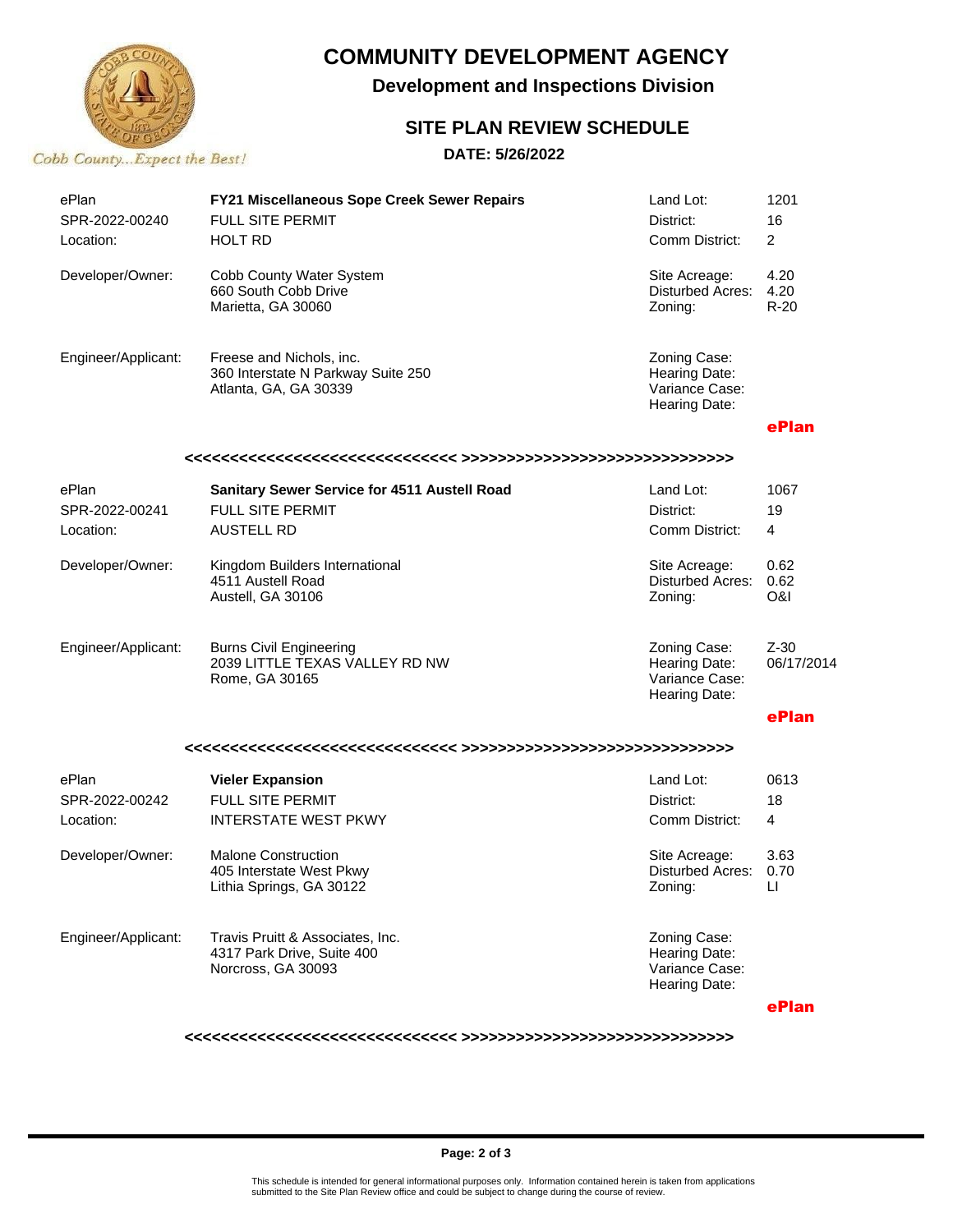

# **COMMUNITY DEVELOPMENT AGENCY**

**Development and Inspections Division**

### **SITE PLAN REVIEW SCHEDULE**

### **DATE: 5/26/2022**

| ePlan<br>SPR-2022-00240<br>Location: | FY21 Miscellaneous Sope Creek Sewer Repairs<br><b>FULL SITE PERMIT</b><br>HOLT RD       | Land Lot:<br>District:<br>Comm District:                         | 1201<br>16<br>2                |  |  |  |
|--------------------------------------|-----------------------------------------------------------------------------------------|------------------------------------------------------------------|--------------------------------|--|--|--|
| Developer/Owner:                     | Cobb County Water System<br>660 South Cobb Drive<br>Marietta, GA 30060                  | Site Acreage:<br>Disturbed Acres:<br>Zoning:                     | 4.20<br>4.20<br>$R-20$         |  |  |  |
| Engineer/Applicant:                  | Freese and Nichols, inc.<br>360 Interstate N Parkway Suite 250<br>Atlanta, GA, GA 30339 | Zoning Case:<br>Hearing Date:<br>Variance Case:<br>Hearing Date: |                                |  |  |  |
|                                      |                                                                                         |                                                                  | ePlan                          |  |  |  |
|                                      |                                                                                         |                                                                  |                                |  |  |  |
| ePlan                                | Sanitary Sewer Service for 4511 Austell Road                                            | Land Lot:                                                        | 1067                           |  |  |  |
| SPR-2022-00241                       | <b>FULL SITE PERMIT</b>                                                                 | District:                                                        | 19                             |  |  |  |
| Location:                            | <b>AUSTELL RD</b>                                                                       | Comm District:                                                   | $\overline{4}$                 |  |  |  |
| Developer/Owner:                     | Kingdom Builders International<br>4511 Austell Road<br>Austell, GA 30106                | Site Acreage:<br>Disturbed Acres:<br>Zoning:                     | 0.62<br>0.62<br><b>O&amp;I</b> |  |  |  |
| Engineer/Applicant:                  | <b>Burns Civil Engineering</b><br>2039 LITTLE TEXAS VALLEY RD NW<br>Rome, GA 30165      | Zoning Case:<br>Hearing Date:<br>Variance Case:<br>Hearing Date: | $Z-30$<br>06/17/2014           |  |  |  |
|                                      |                                                                                         |                                                                  | ePlan                          |  |  |  |
|                                      |                                                                                         |                                                                  |                                |  |  |  |
| ePlan                                | <b>Vieler Expansion</b>                                                                 | Land Lot:                                                        | 0613                           |  |  |  |
| SPR-2022-00242                       | <b>FULL SITE PERMIT</b>                                                                 | District:                                                        | 18                             |  |  |  |
| Location:                            | <b>INTERSTATE WEST PKWY</b>                                                             | Comm District:                                                   | $\overline{4}$                 |  |  |  |
| Developer/Owner:                     | <b>Malone Construction</b><br>405 Interstate West Pkwy<br>Lithia Springs, GA 30122      | Site Acreage:<br><b>Disturbed Acres:</b><br>Zoning:              | 3.63<br>0.70<br>ш              |  |  |  |
| Engineer/Applicant:                  | Travis Pruitt & Associates, Inc.<br>4317 Park Drive, Suite 400<br>Norcross, GA 30093    | Zoning Case:<br>Hearing Date:<br>Variance Case:<br>Hearing Date: |                                |  |  |  |
|                                      |                                                                                         |                                                                  | ePlan                          |  |  |  |

**<<<<<<<<<<<<<<<<<<<<<<<<<<<<<< >>>>>>>>>>>>>>>>>>>>>>>>>>>>>>**

#### **Page: 2 of 3**